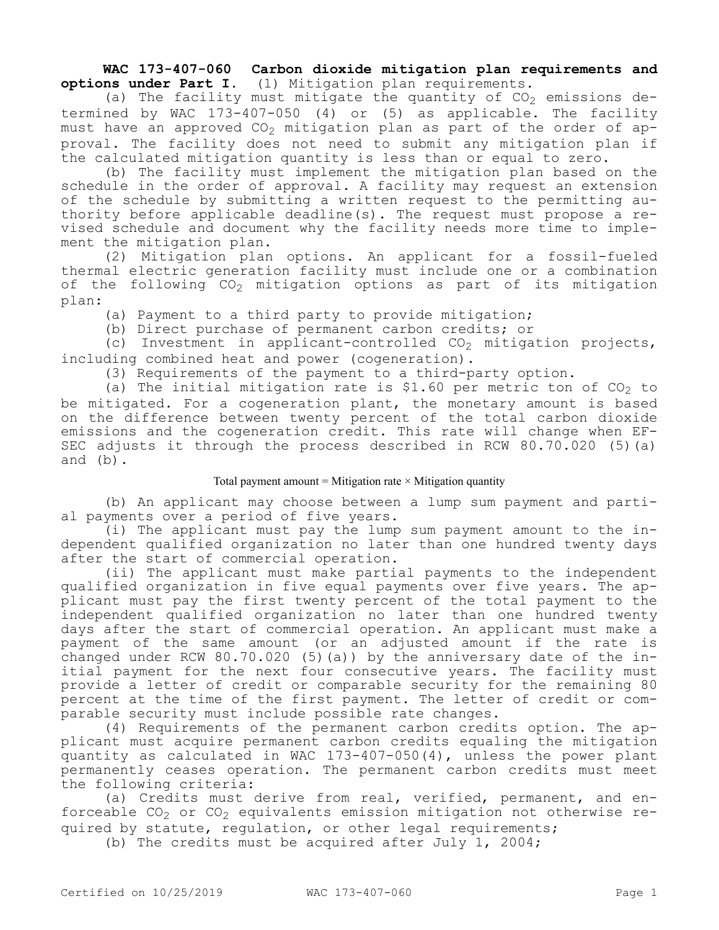**WAC 173-407-060 Carbon dioxide mitigation plan requirements and options under Part I.** (1) Mitigation plan requirements.

(a) The facility must mitigate the quantity of  $CO<sub>2</sub>$  emissions determined by WAC 173-407-050 (4) or (5) as applicable. The facility must have an approved  $CO_2$  mitigation plan as part of the order of approval. The facility does not need to submit any mitigation plan if the calculated mitigation quantity is less than or equal to zero.

(b) The facility must implement the mitigation plan based on the schedule in the order of approval. A facility may request an extension of the schedule by submitting a written request to the permitting authority before applicable deadline(s). The request must propose a revised schedule and document why the facility needs more time to implement the mitigation plan.

(2) Mitigation plan options. An applicant for a fossil-fueled thermal electric generation facility must include one or a combination of the following  $CO_2$  mitigation options as part of its mitigation plan:

(a) Payment to a third party to provide mitigation;

(b) Direct purchase of permanent carbon credits; or

(c) Investment in applicant-controlled  $CO<sub>2</sub>$  mitigation projects, including combined heat and power (cogeneration).

(3) Requirements of the payment to a third-party option.

(a) The initial mitigation rate is \$1.60 per metric ton of  $CO<sub>2</sub>$  to be mitigated. For a cogeneration plant, the monetary amount is based on the difference between twenty percent of the total carbon dioxide emissions and the cogeneration credit. This rate will change when EF-SEC adjusts it through the process described in RCW 80.70.020 (5)(a) and (b).

## Total payment amount = Mitigation rate  $\times$  Mitigation quantity

(b) An applicant may choose between a lump sum payment and partial payments over a period of five years.

(i) The applicant must pay the lump sum payment amount to the independent qualified organization no later than one hundred twenty days after the start of commercial operation.

(ii) The applicant must make partial payments to the independent qualified organization in five equal payments over five years. The applicant must pay the first twenty percent of the total payment to the independent qualified organization no later than one hundred twenty days after the start of commercial operation. An applicant must make a payment of the same amount (or an adjusted amount if the rate is changed under RCW 80.70.020 (5)(a)) by the anniversary date of the initial payment for the next four consecutive years. The facility must provide a letter of credit or comparable security for the remaining 80 percent at the time of the first payment. The letter of credit or comparable security must include possible rate changes.

(4) Requirements of the permanent carbon credits option. The applicant must acquire permanent carbon credits equaling the mitigation quantity as calculated in WAC 173-407-050(4), unless the power plant permanently ceases operation. The permanent carbon credits must meet the following criteria:

(a) Credits must derive from real, verified, permanent, and enforceable  $CO_2$  or  $CO_2$  equivalents emission mitigation not otherwise required by statute, regulation, or other legal requirements;

(b) The credits must be acquired after July 1, 2004;